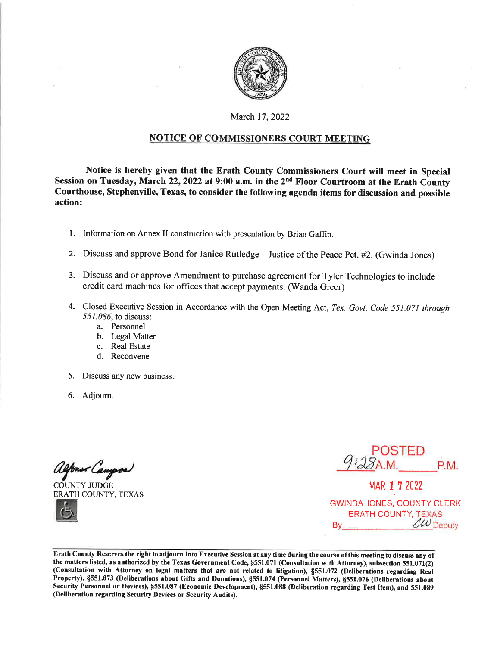

### March 17, 2022

### **NOTICE OF COMMISSIONERS COURT MEETING**

Notice is hereby given that the Erath County Commissioners Court will meet in Special Session on Tuesday, March 22, 2022 at 9:00 a.m. in the 2<sup>nd</sup> Floor Courtroom at the Erath County Courthouse, Stephenville, Texas, to consider the following agenda items for discussion and possible action:

- 1. Information on Annex II construction with presentation by Brian Gaffin.
- 2. Discuss and approve Bond for Janice Rutledge Justice of the Peace Pct. #2. (Gwinda Jones)
- 3. Discuss and or approve Amendment to purchase agreement for Tyler Technologies to include credit card machines for offices that accept payments. (Wanda Greer)
- 4. Closed Executive Session in Accordance with the Open Meeting Act, Tex. Govt. Code 551.071 through 551.086, to discuss:
	- a. Personnel
	- b. Legal Matter
	- c. Real Estate
	- d. Reconvene
- 5. Discuss any new business.
- 6. Adjourn.

<u> fonsv Cangros</u>

**COUNTY JUDGE ERATH COUNTY, TEXAS** 

\_POSTED<br>*\§*a.m. P.M.

MAR 1 7 2022 **GWINDA JONES, COUNTY CLERK ERATH COUNTY, TEXAS**  $\ell\omega$  Deputy By

Erath County Reserves the right to adjourn into Executive Session at any time during the course of this meeting to discuss any of the matters listed, as authorized by the Texas Government Code, §551.071 (Consultation with Attorney), subsection 551.071(2) (Consultation with Attorney on legal matters that are not related to litigation), §551.072 (Deliberations regarding Real Property), §551.073 (Deliberations about Gifts and Donations), §551.074 (Personnel Matters), §551.076 (Deliberations about Security Personnel or Devices), §551.087 (Economic Development), §551.088 (Deliberation regarding Test Item), and 551.089 (Deliberation regarding Security Devices or Security Audits).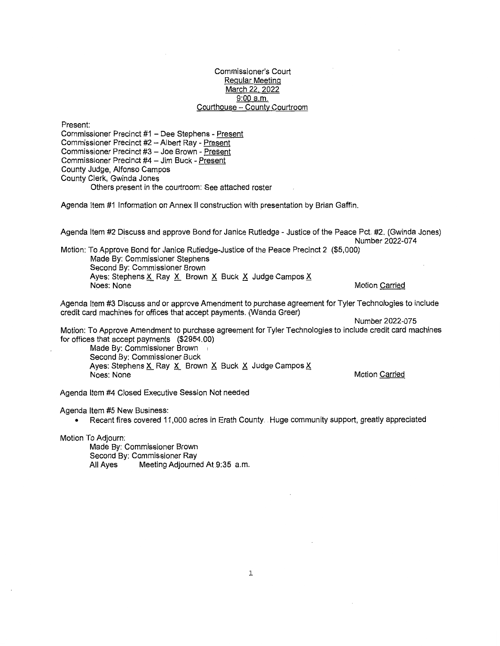#### Commissioner's Court Regular Meeting March 22, 2022 9:00 a.m. Courthouse - County Courtroom

Present: Commissioner Precinct #1 - Dee Stephens - Present Commissioner Precinct #2 - Albert Ray - Present Commissioner Precinct #3 - Joe Brown - Present Commissioner Precinct #4 - Jim Buck - Present County Judge, Alfonso Campos County Clerk, Gwinda Jones Others present in the courtroom: See attached roster

Agenda Item #1 Information on Annex II construction with presentation by Brian Gaffin.

Agenda Item #2 Discuss and approve Bond for Janice Rutledge - Justice of the Peace Pct. #2. (Gwinda Jones) Number 2022-074

Motion: To Approve Bond for Janice Rutledge-Justice of the Peace Precinct 2 (\$5,000) Made By: Commissioner Stephens Second By: Commissioner Brown Ayes: Stephens X\_ Ray X\_ Brown  $\times$  Buck  $\times$  Judge Campos  $\times$ Noes: None Motion Carried

Agenda Item #3 Discuss and or approve Amendment to purchase agreement for Tyler Technologies to include credit card machines for offices that accept payments. (Wanda Greer)

Number 2022-075

Motion: To Approve Amendment to purchase agreement for Tyler Technologies to include credit card machines for offices that accept payments (\$2954.00)

Made By: Commissioner Brown Second By: Commissioner Buck Ayes: Stephens X\_ Ray X\_ Brown  $\times$  Buck  $\times$  Judge Campos  $\times$ Noes: None Motion Carried

Agenda Item #4 Closed Executive Session Not needed

Agenda Item #5 New Business:

• Recent fires covered 11,000 acres in Erath County. Huge community support, greatly appreciated

Motion To Adjourn:

Made By: Commissioner Brown Second By: Commissioner Ray All Ayes Meeting Adjourned At9:35 a.m.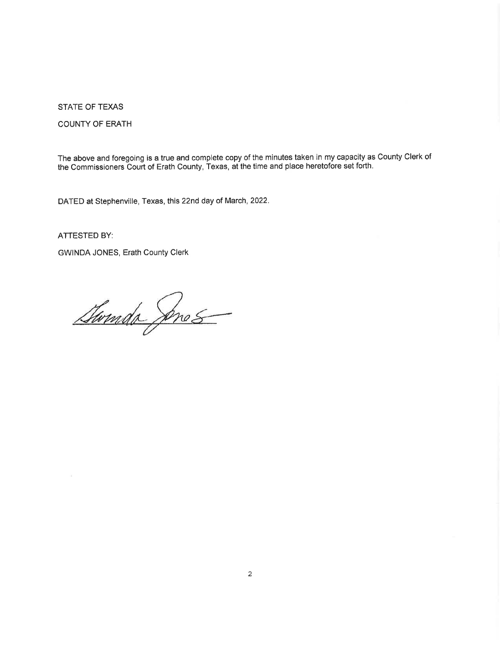**STATE OF TEXAS** 

**COUNTY OF ERATH** 

The above and foregoing is a true and complete copy of the minutes taken in my capacity as County Clerk of the Commissioners Court of Erath County, Texas, at the time and place heretofore set forth.

DATED at Stephenville, Texas, this 22nd day of March, 2022.

**ATTESTED BY:** 

GWINDA JONES, Erath County Clerk

Gwmdo Snes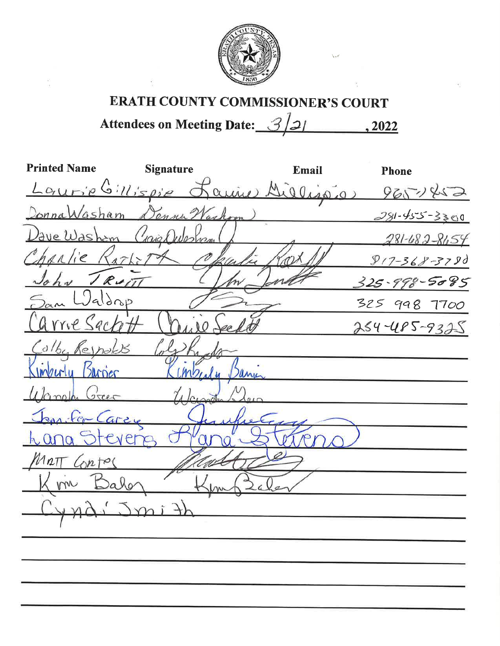

# **ERATH COUNTY COMMISSIONER'S COURT**

Attendees on Meeting Date: 3/2/  $, 2022$ 

| <b>Printed Name</b>        | <b>Signature</b> | Email | <b>Phone</b>                                |
|----------------------------|------------------|-------|---------------------------------------------|
|                            |                  |       | Laurie Gillispie Laurie Dielissier 965-1452 |
| DonnaWasham DennaWashoom)  |                  |       | $281 - 455 - 3300$                          |
| Dave Washem Craig Question |                  |       | 281-682-8654                                |
| Charlie Rath-17            |                  |       | $917 - 368 - 3790$                          |
| John TRUITT                |                  |       | $325 - 998 - 5085$                          |
| San Waldrop                |                  |       | 325 998 7700                                |
| arrie Sactot               |                  |       | $254 - 485 - 9325$                          |
| Colby Reynolds             |                  |       |                                             |
| Kinterly Barnes            |                  |       |                                             |
| Ulangle Green              |                  |       |                                             |
| Jan-Fer-Carey              |                  |       |                                             |
| ana Stevene                |                  |       |                                             |
| MATT Contes                |                  |       |                                             |
| m Balon                    |                  |       |                                             |
| 440.2                      |                  |       |                                             |
|                            |                  |       |                                             |
|                            |                  |       |                                             |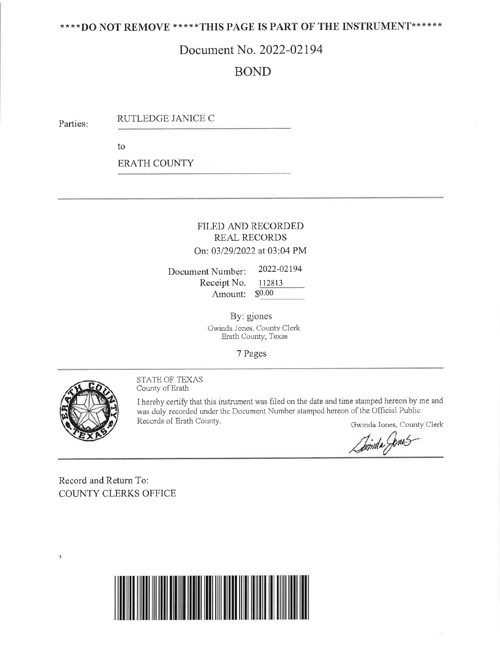### \*\*\*\* DO NOT REMOVE \*\*\*\*\* THIS PAGE IS PART OF THE INSTRUMENT\*\*\*\*\*\*

# Document No. 2022-02194

# **BOND**

RUTLEDGE JANICE C Parties:

to

**ERATH COUNTY** 

### FILED AND RECORDED **REAL RECORDS** On: 03/29/2022 at 03:04 PM

2022-02194 Document Number: Receipt No. 112813 Amount:  $$0.00$ 

> By: gjones Gwinda Jones, County Clerk Erath County, Texas

> > 7 Pages



٠

STATE OF TEXAS County of Erath

I hereby certify that this instrument was filed on the date and time stamped hereon by me and was duly recorded under the Document Number stamped hereon of the Official Public Records of Erath County. Gwinda Jones, County Clerk

Dinida Jones

Record and Return To: **COUNTY CLERKS OFFICE** 

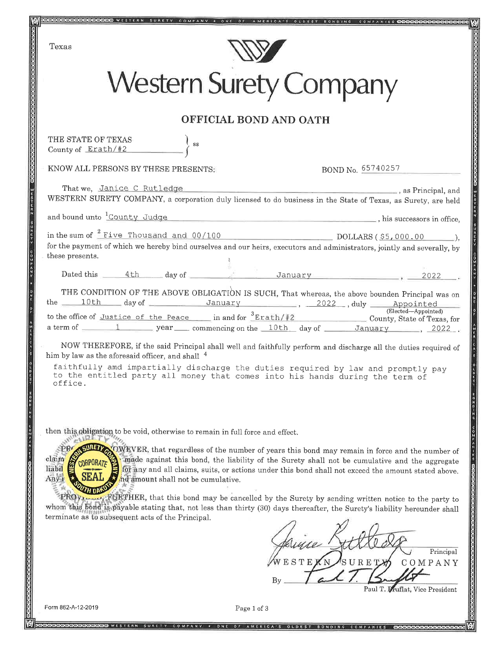

Principal COMPANY

Paul T. Druflat, Vice President

Form 862-A-12-2019

Page 1 of 3

**DEDEN WESTERN SURETY COMPANY . ONE OF AMERICA'S OLDEST BONDING COMPANIES**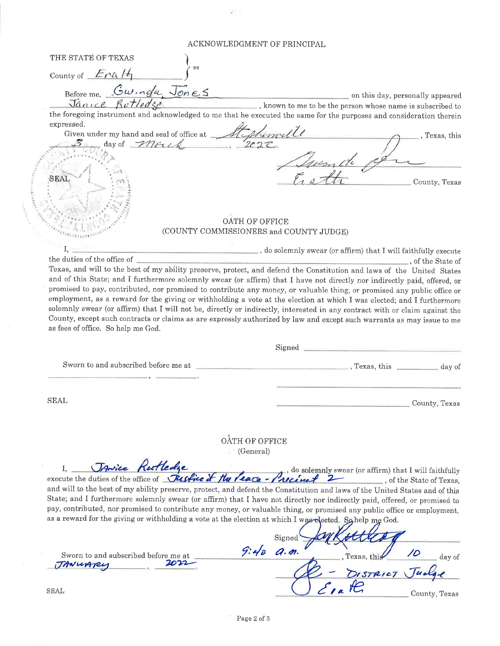#### ACKNOWLEDGMENT OF PRINCIPAL

THE STATE OF TEXAS County of  $End(4)$ Before me. Swinda, Jones on this day, personally appeared known to me to be the person whose name is subscribed to Janice Rutledge the foregoing instrument and acknowledged to me that he executed the same for the purposes and consideration therein expressed. Given under my hand and seal of office at Alghemulle , Texas, this County, Texas **OATH OF OFFICE** (COUNTY COMMISSIONERS and COUNTY JUDGE) L  $\equiv$ , do solemnly swear (or affirm) that I will faithfully execute the duties of the office of \_, of the State of Texas, and will to the best of my ability preserve, protect, and defend the Constitution and laws of the United States and of this State; and I furthermore solemnly swear (or affirm) that I have not directly nor indirectly paid, offered, or promised to pay, contributed, nor promised to contribute any money, or valuable thing, or promised any public office or employment, as a reward for the giving or withholding a vote at the election at which I was elected; and I furthermore solemnly swear (or affirm) that I will not be, directly or indirectly, interested in any contract with or claim against the County, except such contracts or claims as are expressly authorized by law and except such warrants as may issue to me as fees of office. So help me God. Signed Sworn to and subscribed before me at **SEAL** County, Texas OATH OF OFFICE (General) JAnice Retledge  $\mathbf{I}$ . I, Varie Kulledge de Hussel du Care - Aucenily swear (or affirm) that I will faithfully execute the duties of the office of Tusseline of the Veace - Precent 2 and will to the best of my ability preserve, protect, and defend the Constitution and laws of the United States and of this State; and I furthermore solemnly swear (or affirm) that I have not directly nor indirectly paid, offered, or promised to pay, contributed, nor promised to contribute any money, or valuable thing, or promised any public office or employment, as a reward for the giving or withholding a vote at the election at which I was elected. So help me God. Signed  $9:400.9.$ /D Sworn to and subscribed before me at Texas, this day of TANUARY DISTRICT **SEAL** County, Texas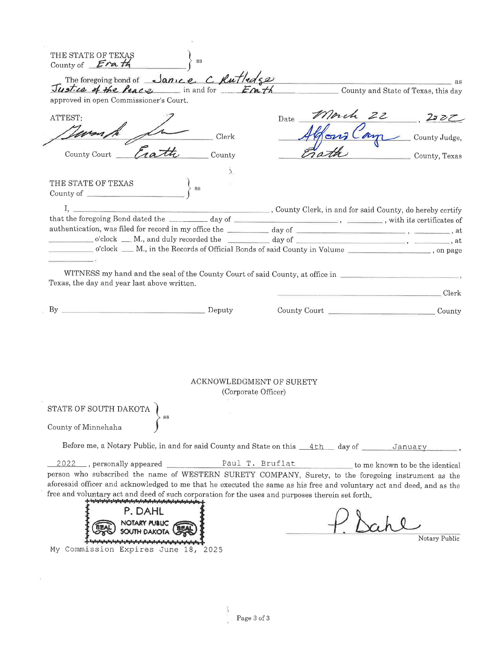| Justice of the Peace in and for Enth County and State of Texas, this day                                                                                                                                                      | The foregoing bond of Janice C Rutledge |                                                 | $\overline{a}$ as a set of $\overline{a}$ and $\overline{a}$ and $\overline{a}$ are $\overline{a}$ and $\overline{a}$ and $\overline{a}$ are $\overline{a}$ and $\overline{a}$ and $\overline{a}$ and $\overline{a}$ and $\overline{a}$ and $\overline{a}$ and $\overline{a}$ and $\overline{a}$ and $\overline{a}$ and $\overline{$ |
|-------------------------------------------------------------------------------------------------------------------------------------------------------------------------------------------------------------------------------|-----------------------------------------|-------------------------------------------------|--------------------------------------------------------------------------------------------------------------------------------------------------------------------------------------------------------------------------------------------------------------------------------------------------------------------------------------|
| approved in open Commissioner's Court.                                                                                                                                                                                        |                                         |                                                 |                                                                                                                                                                                                                                                                                                                                      |
| ATTEST:                                                                                                                                                                                                                       |                                         | Date                                            |                                                                                                                                                                                                                                                                                                                                      |
|                                                                                                                                                                                                                               |                                         |                                                 | Morch 22, 252                                                                                                                                                                                                                                                                                                                        |
|                                                                                                                                                                                                                               | Clerk                                   |                                                 |                                                                                                                                                                                                                                                                                                                                      |
| County Court                                                                                                                                                                                                                  | County                                  |                                                 | County, Texas                                                                                                                                                                                                                                                                                                                        |
|                                                                                                                                                                                                                               | $\lambda$                               |                                                 |                                                                                                                                                                                                                                                                                                                                      |
| THE STATE OF TEXAS                                                                                                                                                                                                            |                                         |                                                 |                                                                                                                                                                                                                                                                                                                                      |
| County of $\qquad \qquad$                                                                                                                                                                                                     | SS                                      |                                                 |                                                                                                                                                                                                                                                                                                                                      |
|                                                                                                                                                                                                                               |                                         |                                                 |                                                                                                                                                                                                                                                                                                                                      |
|                                                                                                                                                                                                                               |                                         |                                                 |                                                                                                                                                                                                                                                                                                                                      |
|                                                                                                                                                                                                                               |                                         |                                                 |                                                                                                                                                                                                                                                                                                                                      |
|                                                                                                                                                                                                                               |                                         |                                                 | o'clock __ M., and duly recorded the ___________ day of _________________________, _________, at<br>o'clock __ M., in the Records of Official Bonds of said County in Volume _______________, on page                                                                                                                                |
|                                                                                                                                                                                                                               |                                         |                                                 |                                                                                                                                                                                                                                                                                                                                      |
| <b>Deputy</b> Deputy                                                                                                                                                                                                          |                                         |                                                 |                                                                                                                                                                                                                                                                                                                                      |
| $By$ <sub>1–</sub>                                                                                                                                                                                                            |                                         |                                                 | County Court<br>County                                                                                                                                                                                                                                                                                                               |
|                                                                                                                                                                                                                               |                                         |                                                 |                                                                                                                                                                                                                                                                                                                                      |
|                                                                                                                                                                                                                               |                                         |                                                 |                                                                                                                                                                                                                                                                                                                                      |
|                                                                                                                                                                                                                               |                                         |                                                 |                                                                                                                                                                                                                                                                                                                                      |
|                                                                                                                                                                                                                               |                                         | ACKNOWLEDGMENT OF SURETY<br>(Corporate Officer) |                                                                                                                                                                                                                                                                                                                                      |
|                                                                                                                                                                                                                               |                                         |                                                 |                                                                                                                                                                                                                                                                                                                                      |
|                                                                                                                                                                                                                               | SS                                      |                                                 |                                                                                                                                                                                                                                                                                                                                      |
|                                                                                                                                                                                                                               |                                         |                                                 |                                                                                                                                                                                                                                                                                                                                      |
| Before me, a Notary Public, in and for said County and State on this 4th day of January                                                                                                                                       |                                         |                                                 |                                                                                                                                                                                                                                                                                                                                      |
|                                                                                                                                                                                                                               |                                         |                                                 |                                                                                                                                                                                                                                                                                                                                      |
| STATE OF SOUTH DAKOTA<br>County of Minnehaha                                                                                                                                                                                  |                                         |                                                 | 2022 , personally appeared <u>Paul T. Bruflat</u> to me known to be the identical                                                                                                                                                                                                                                                    |
| person who subscribed the name of WESTERN SURETY COMPANY, Surety, to the foregoing instrument as the<br>aforesaid officer and acknowledged to me that he executed the same as his free and voluntary act and deed, and as the |                                         |                                                 |                                                                                                                                                                                                                                                                                                                                      |
| بالمواردا ومالومة ومالسا ومارحة ومالوحاء ومالوما ومالوما ومقوماتهما                                                                                                                                                           |                                         |                                                 |                                                                                                                                                                                                                                                                                                                                      |
| P.DAHL                                                                                                                                                                                                                        |                                         |                                                 |                                                                                                                                                                                                                                                                                                                                      |
| free and voluntary act and deed of such corporation for the uses and purposes therein set forth.<br>NOTARY PUBLIC A                                                                                                           |                                         |                                                 |                                                                                                                                                                                                                                                                                                                                      |
|                                                                                                                                                                                                                               |                                         |                                                 | Notary Public                                                                                                                                                                                                                                                                                                                        |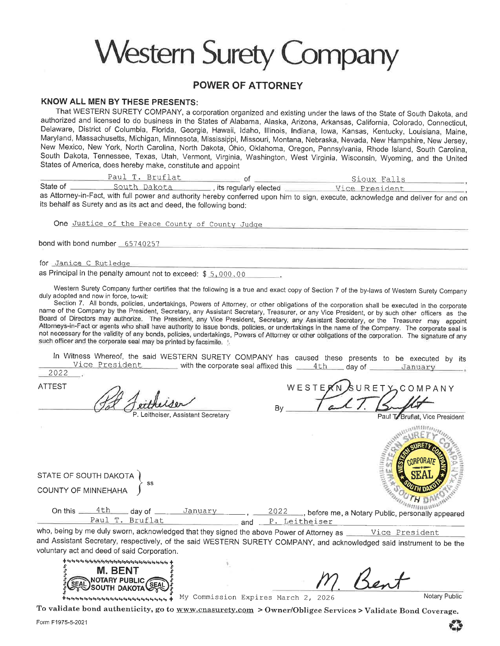# **Western Surety Company**

### **POWER OF ATTORNEY**

### **KNOW ALL MEN BY THESE PRESENTS:**

That WESTERN SURETY COMPANY, a corporation organized and existing under the laws of the State of South Dakota, and authorized and licensed to do business in the States of Alabama, Alaska, Arizona, Arkansas, California, Colorado, Connecticut, Delaware, District of Columbia, Florida, Georgia, Hawaii, Idaho, Illinois, Indiana, Iowa, Kansas, Kentucky, Louisiana, Maine, Maryland, Massachusetts, Michigan, Minnesota, Mississippi, Missouri, Montana, Nebraska, Nevada, New Hampshire, New Jersey, New Mexico, New York, North Carolina, North Dakota, Ohio, Oklahoma, Oregon, Pennsylvania, Rhode Island, South Carolina, South Dakota, Tennessee, Texas, Utah, Vermont, Virginia, Washington, West Virginia, Wisconsin, Wyoming, and the United States of America, does hereby make, constitute and appoint

Paul T. Bruflat  $=$  of  $=$ Sioux Falls State of as Attorney-in-Fact, with full power and authority hereby conferred upon him to sign, execute, acknowledge and deliver for and on

its behalf as Surety and as its act and deed, the following bond:

One Justice of the Peace County of County Judge

bond with bond number 65740257

for Janice C Rutledge

as Principal in the penalty amount not to exceed: \$ 5,000.00

Western Surety Company further certifies that the following is a true and exact copy of Section 7 of the by-laws of Western Surety Company duly adopted and now in force, to-wit:

Section 7. All bonds, policies, undertakings, Powers of Attorney, or other obligations of the corporation shall be executed in the corporate name of the Company by the President, Secretary, any Assistant Secretary, Treasurer, or any Vice President, or by such other officers as the Board of Directors may authorize. The President, any Vice President, Secretary, any Assistant Secretary, or the Treasurer may appoint Attorneys-in-Fact or agents who shall have authority to issue bonds, policies, or undertakings in the name of the Company. The corporate seal is not necessary for the validity of any bonds, policies, undertakings, Powers of Attorney or other obligations of the corporation. The signature of any such officer and the corporate seal may be printed by facsimile.

In Witness Whereof, the said WESTERN SURETY COMPANY has caused these presents to be executed by its Vice President \_\_\_\_\_ with the corporate seal affixed this \_\_\_4th \_\_ day of \_\_\_\_\_\_ January

2022 **ATTEST** P. Leitheiser, Assistant Secretary

WESTERN ゟ∪RETとCOMPANY

Paul T/Bruflat, Vice President



STATE OF SOUTH DAKOTA **COUNTY OF MINNEHAHA** 

| $\frac{4th}{4}$ day of $\frac{300000}{4}$<br>On this<br>January |                   | 2022  before me, a Notary Public, personally appearer' |  |
|-----------------------------------------------------------------|-------------------|--------------------------------------------------------|--|
| Paul T. Bruflat                                                 | and P. Leitheiser |                                                        |  |

<u> and P. Leitheiser</u>

who, being by me duly sworn, acknowledged that they signed the above Power of Attorney as Wice President and Assistant Secretary, respectively, of the said WESTERN SURETY COMPANY, and acknowledged said instrument to be the voluntary act and deed of said Corporation.



Notary Public

ssessessessessessesses + My Commission Expires March 2, 2026

To validate bond authenticity, go to www.cnasurety.com > Owner/Obligee Services > Validate Bond Coverage.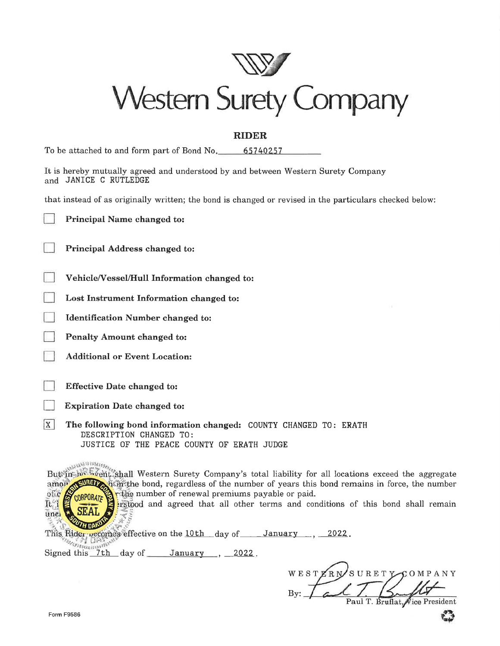

### **RIDER**

| To be attached to and form part of Bond No. |  | 65740257 |  |
|---------------------------------------------|--|----------|--|
|                                             |  |          |  |

|                       |  |  | It is hereby mutually agreed and understood by and between Western Surety Company |  |  |  |
|-----------------------|--|--|-----------------------------------------------------------------------------------|--|--|--|
| and JANICE C RUTLEDGE |  |  |                                                                                   |  |  |  |

that instead of as originally written; the bond is changed or revised in the particulars checked below:

|  | Principal Name changed to: |  |  |  |
|--|----------------------------|--|--|--|
|--|----------------------------|--|--|--|

- Principal Address changed to:
- Vehicle/Vessel/Hull Information changed to:
- Lost Instrument Information changed to:
- **Identification Number changed to:**
- Penalty Amount changed to:
- **Additional or Event Location:**
- **Effective Date changed to:**
- **Expiration Date changed to:**
- 1x I The following bond information changed: COUNTY CHANGED TO: ERATH DESCRIPTION CHANGED TO: JUSTICE OF THE PEACE COUNTY OF ERATH JUDGE

**ANAMERICA** 

But in the sych fishall Western Surety Company's total liability for all locations exceed the aggregate the bond, regardless of the number of years this bond remains in force, the number amo<sub>1</sub> The number of renewal premiums payable or paid. of c **CORPORATE** n 1

irstpod and agreed that all other terms and conditions of this bond shall remain

This Rider vecomes effective on the 10th day of January 2022. **SANTESCO SERVITOR** 

Signed this 7th day of January , 2022.

WESTZRN SURETY COMPANY Paul T. Bruflat, Vice President By:

unei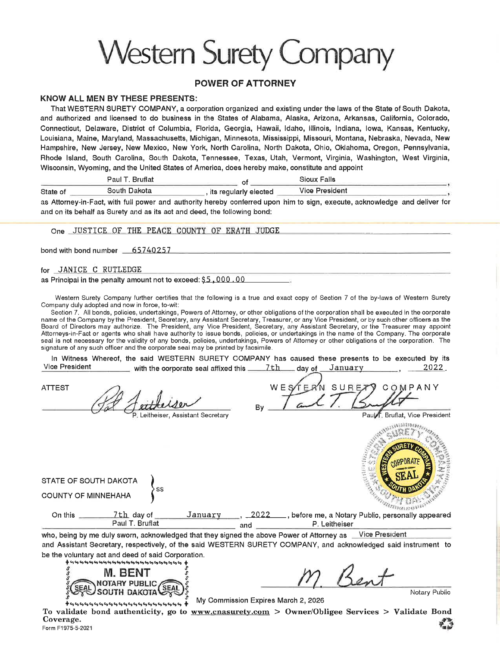# **Western Surety Company**

### **POWER OF ATTORNEY**

### **KNOW ALL MEN BY THESE PRESENTS:**

That WESTERN SURETY COMPANY, a corporation organized and existing under the laws of the State of South Dakota, and authorized and licensed to do business in the States of Alabama, Alaska, Arizona, Arkansas, California, Colorado, Connecticut, Delaware, District of Columbia, Florida, Georgia, Hawaii, Idaho, Illinois, Indiana, Iowa, Kansas, Kentucky, Louisiana, Maine, Maryland, Massachusetts, Michigan, Minnesota, Mississippi, Missouri, Montana, Nebraska, Nevada, New Hampshire, New Jersey, New Mexico, New York, North Carolina, North Dakota, Ohio, Oklahoma, Oregon, Pennsylvania, Rhode Island, South Carolina, South Dakota, Tennessee, Texas, Utah, Vermont, Virginia, Washington, West Virginia, Wisconsin, Wyoming, and the United States of America, does hereby make, constitute and appoint

Paul T. Bruflat **Sioux Falls**  $\_$  of  $\_$ South Dakota **Vice President** , its regularly elected State of

as Attorney-in-Fact, with full power and authority hereby conferred upon him to sign, execute, acknowledge and deliver for and on its behalf as Surety and as its act and deed, the following bond:

One JUSTICE OF THE PEACE COUNTY OF ERATH JUDGE

bond with bond number 65740257

for JANICE C RUTLEDGE

STATE OF SOUTH DAKOTA **COUNTY OF MINNEHAHA** 

as Principal in the penalty amount not to exceed: \$5,000.00

Western Surety Company further certifies that the following is a true and exact copy of Section 7 of the by-laws of Western Surety Company duly adopted and now in force, to-wit:

Section 7. All bonds, policies, undertakings, Powers of Attorney, or other obligations of the corporation shall be executed in the corporate name of the Company by the President, Secretary, any Assistant Secretary, Treasurer, or any Vice President, or by such other officers as the Board of Directors may authorize. The President, any Vice President, Secretary, any Assistant Secretary, or the Treasurer may appoint Attorneys-in-Fact or agents who shall have authority to issue bonds, policies, or undertakings in the name of the Company. The corporate seal is not necessary for the validity of any bonds, policies, undertakings, Powers of Attorney or other obligations of the corporation. The signature of any such officer and the corporate seal may be printed by facsimile.

In Witness Whereof, the said WESTERN SURETY COMPANY has caused these presents to be executed by its **Vice President** with the corporate seal affixed this \_\_\_\_\_\_\_7th \_\_\_\_ day of January <u>2022.</u>

**ATTEST** 

Leitheiser, Assistant Secretary

SURE COMPANY

Paul F. Bruflat, Vice President



On this  $-$ 7th day of January 2022 \_, before me, a Notary Public, personally appeared Paul T. Bruflat P. Leitheiser and

who, being by me duly sworn, acknowledged that they signed the above Power of Attorney as Vice President and Assistant Secretary, respectively, of the said WESTERN SURETY COMPANY, and acknowledged said instrument to be the voluntary act and deed of said Corporation.



Notary Public

My Commission Expires March 2, 2026

To validate bond authenticity, go to www.cnasurety.com > Owner/Obligee Services > Validate Bond Coverage. Form F1975-5-2021